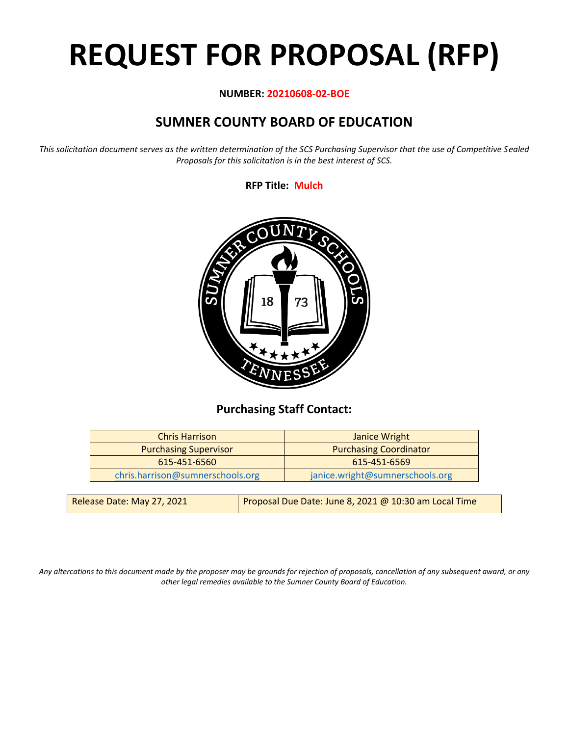# **REQUEST FOR PROPOSAL (RFP)**

# **NUMBER: 20210608-02-BOE**

# **SUMNER COUNTY BOARD OF EDUCATION**

*This solicitation document serves as the written determination of the SCS Purchasing Supervisor that the use of Competitive Sealed Proposals for this solicitation is in the best interest of SCS.*

**RFP Title: Mulch**



# **Purchasing Staff Contact:**

| <b>Chris Harrison</b>            | <b>Janice Wright</b>            |
|----------------------------------|---------------------------------|
| <b>Purchasing Supervisor</b>     | <b>Purchasing Coordinator</b>   |
| 615-451-6560                     | 615-451-6569                    |
| chris.harrison@sumnerschools.org | janice.wright@sumnerschools.org |
|                                  |                                 |

| Release Date: May 27, 2021 | Proposal Due Date: June 8, 2021 @ 10:30 am Local Time |
|----------------------------|-------------------------------------------------------|
|                            |                                                       |

*Any altercations to this document made by the proposer may be grounds for rejection of proposals, cancellation of any subsequent award, or any other legal remedies available to the Sumner County Board of Education.*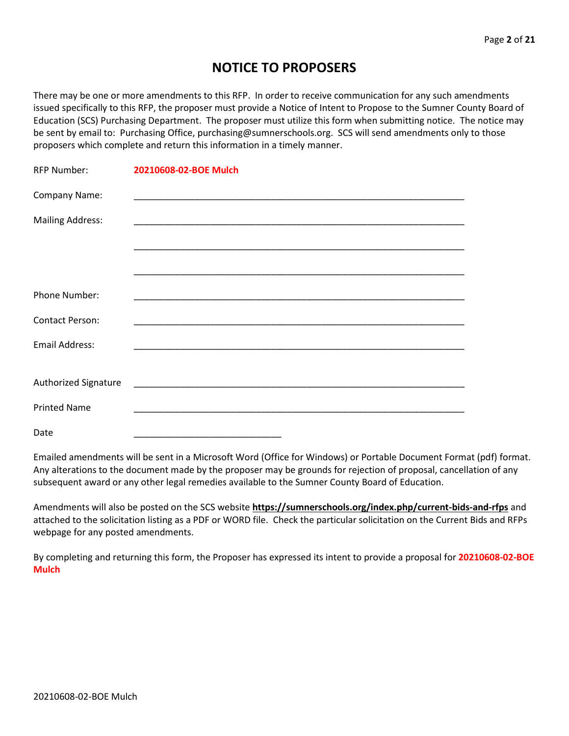# **NOTICE TO PROPOSERS**

There may be one or more amendments to this RFP. In order to receive communication for any such amendments issued specifically to this RFP, the proposer must provide a Notice of Intent to Propose to the Sumner County Board of Education (SCS) Purchasing Department. The proposer must utilize this form when submitting notice. The notice may be sent by email to: Purchasing Office, purchasing@sumnerschools.org. SCS will send amendments only to those proposers which complete and return this information in a timely manner.

| <b>RFP Number:</b>      | 20210608-02-BOE Mulch |
|-------------------------|-----------------------|
| Company Name:           |                       |
| <b>Mailing Address:</b> |                       |
|                         |                       |
|                         |                       |
| Phone Number:           |                       |
| <b>Contact Person:</b>  |                       |
| <b>Email Address:</b>   |                       |
|                         |                       |
| Authorized Signature    |                       |
| <b>Printed Name</b>     |                       |
| Date                    |                       |

Emailed amendments will be sent in a Microsoft Word (Office for Windows) or Portable Document Format (pdf) format. Any alterations to the document made by the proposer may be grounds for rejection of proposal, cancellation of any subsequent award or any other legal remedies available to the Sumner County Board of Education.

Amendments will also be posted on the SCS website **https://sumnerschools.org/index.php/current-bids-and-rfps** and attached to the solicitation listing as a PDF or WORD file. Check the particular solicitation on the Current Bids and RFPs webpage for any posted amendments.

By completing and returning this form, the Proposer has expressed its intent to provide a proposal for **20210608-02-BOE Mulch**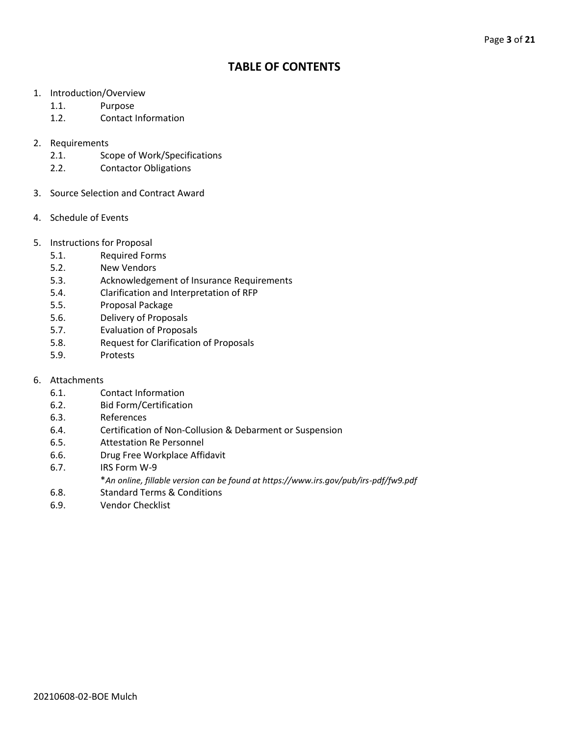# **TABLE OF CONTENTS**

- 1. Introduction/Overview
	- 1.1. Purpose
	- 1.2. Contact Information
- 2. Requirements
	- 2.1. Scope of Work/Specifications
	- 2.2. Contactor Obligations
- 3. Source Selection and Contract Award
- 4. Schedule of Events
- 5. Instructions for Proposal
	- 5.1. Required Forms
	- 5.2. New Vendors
	- 5.3. Acknowledgement of Insurance Requirements
	- 5.4. Clarification and Interpretation of RFP
	- 5.5. Proposal Package
	- 5.6. Delivery of Proposals
	- 5.7. Evaluation of Proposals
	- 5.8. Request for Clarification of Proposals
	- 5.9. Protests
- 6. Attachments
	- 6.1. Contact Information
	- 6.2. Bid Form/Certification
	- 6.3. References
	- 6.4. Certification of Non-Collusion & Debarment or Suspension
	- 6.5. Attestation Re Personnel
	- 6.6. Drug Free Workplace Affidavit
	- 6.7. IRS Form W-9
		- \**An online, fillable version can be found at https://www.irs.gov/pub/irs-pdf/fw9.pdf*
	- 6.8. Standard Terms & Conditions
	- 6.9. Vendor Checklist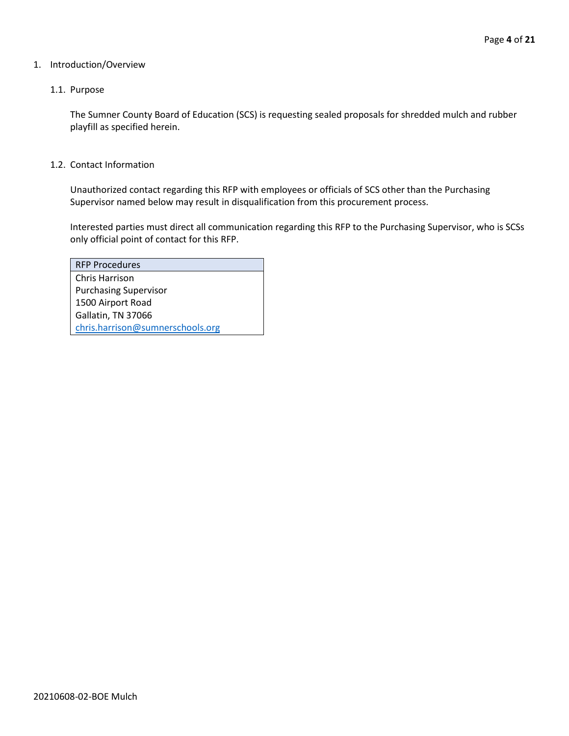#### 1. Introduction/Overview

#### 1.1. Purpose

The Sumner County Board of Education (SCS) is requesting sealed proposals for shredded mulch and rubber playfill as specified herein.

1.2. Contact Information

Unauthorized contact regarding this RFP with employees or officials of SCS other than the Purchasing Supervisor named below may result in disqualification from this procurement process.

Interested parties must direct all communication regarding this RFP to the Purchasing Supervisor, who is SCSs only official point of contact for this RFP.

| <b>RFP Procedures</b>            |
|----------------------------------|
| Chris Harrison                   |
| <b>Purchasing Supervisor</b>     |
| 1500 Airport Road                |
| Gallatin, TN 37066               |
| chris.harrison@sumnerschools.org |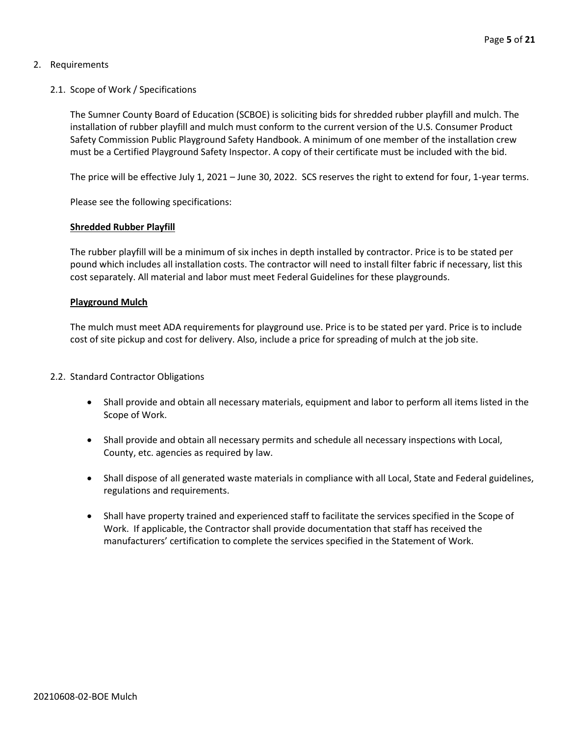# 2. Requirements

# 2.1. Scope of Work / Specifications

The Sumner County Board of Education (SCBOE) is soliciting bids for shredded rubber playfill and mulch. The installation of rubber playfill and mulch must conform to the current version of the U.S. Consumer Product Safety Commission Public Playground Safety Handbook. A minimum of one member of the installation crew must be a Certified Playground Safety Inspector. A copy of their certificate must be included with the bid.

The price will be effective July 1, 2021 – June 30, 2022. SCS reserves the right to extend for four, 1-year terms.

Please see the following specifications:

## **Shredded Rubber Playfill**

The rubber playfill will be a minimum of six inches in depth installed by contractor. Price is to be stated per pound which includes all installation costs. The contractor will need to install filter fabric if necessary, list this cost separately. All material and labor must meet Federal Guidelines for these playgrounds.

## **Playground Mulch**

The mulch must meet ADA requirements for playground use. Price is to be stated per yard. Price is to include cost of site pickup and cost for delivery. Also, include a price for spreading of mulch at the job site.

## 2.2. Standard Contractor Obligations

- Shall provide and obtain all necessary materials, equipment and labor to perform all items listed in the Scope of Work.
- Shall provide and obtain all necessary permits and schedule all necessary inspections with Local, County, etc. agencies as required by law.
- Shall dispose of all generated waste materials in compliance with all Local, State and Federal guidelines, regulations and requirements.
- Shall have property trained and experienced staff to facilitate the services specified in the Scope of Work. If applicable, the Contractor shall provide documentation that staff has received the manufacturers' certification to complete the services specified in the Statement of Work.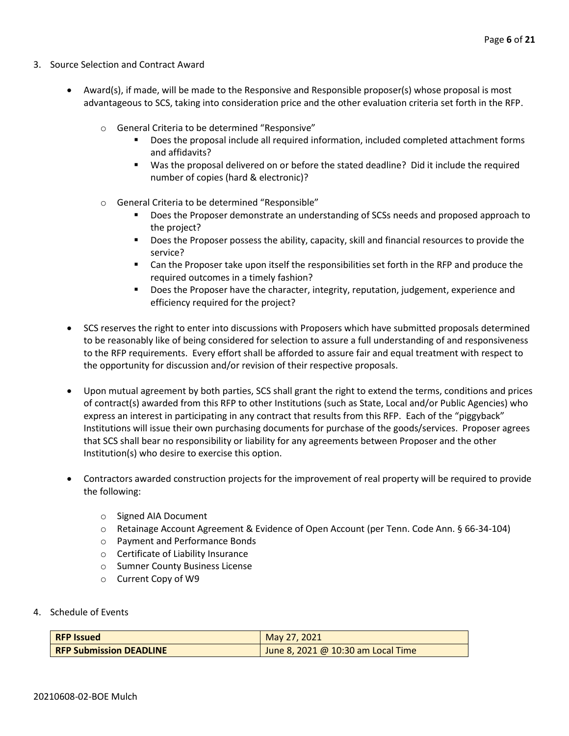- 3. Source Selection and Contract Award
	- Award(s), if made, will be made to the Responsive and Responsible proposer(s) whose proposal is most advantageous to SCS, taking into consideration price and the other evaluation criteria set forth in the RFP.
		- o General Criteria to be determined "Responsive"
			- Does the proposal include all required information, included completed attachment forms and affidavits?
			- Was the proposal delivered on or before the stated deadline? Did it include the required number of copies (hard & electronic)?
		- o General Criteria to be determined "Responsible"
			- Does the Proposer demonstrate an understanding of SCSs needs and proposed approach to the project?
			- Does the Proposer possess the ability, capacity, skill and financial resources to provide the service?
			- Can the Proposer take upon itself the responsibilities set forth in the RFP and produce the required outcomes in a timely fashion?
			- **■** Does the Proposer have the character, integrity, reputation, judgement, experience and efficiency required for the project?
	- SCS reserves the right to enter into discussions with Proposers which have submitted proposals determined to be reasonably like of being considered for selection to assure a full understanding of and responsiveness to the RFP requirements. Every effort shall be afforded to assure fair and equal treatment with respect to the opportunity for discussion and/or revision of their respective proposals.
	- Upon mutual agreement by both parties, SCS shall grant the right to extend the terms, conditions and prices of contract(s) awarded from this RFP to other Institutions (such as State, Local and/or Public Agencies) who express an interest in participating in any contract that results from this RFP. Each of the "piggyback" Institutions will issue their own purchasing documents for purchase of the goods/services. Proposer agrees that SCS shall bear no responsibility or liability for any agreements between Proposer and the other Institution(s) who desire to exercise this option.
	- Contractors awarded construction projects for the improvement of real property will be required to provide the following:
		- o Signed AIA Document
		- o Retainage Account Agreement & Evidence of Open Account (per Tenn. Code Ann. § 66-34-104)
		- o Payment and Performance Bonds
		- o Certificate of Liability Insurance
		- o Sumner County Business License
		- o Current Copy of W9
- 4. Schedule of Events

| <b>RFP Issued</b>              | May 27, 2021                       |
|--------------------------------|------------------------------------|
| <b>RFP Submission DEADLINE</b> | June 8, 2021 @ 10:30 am Local Time |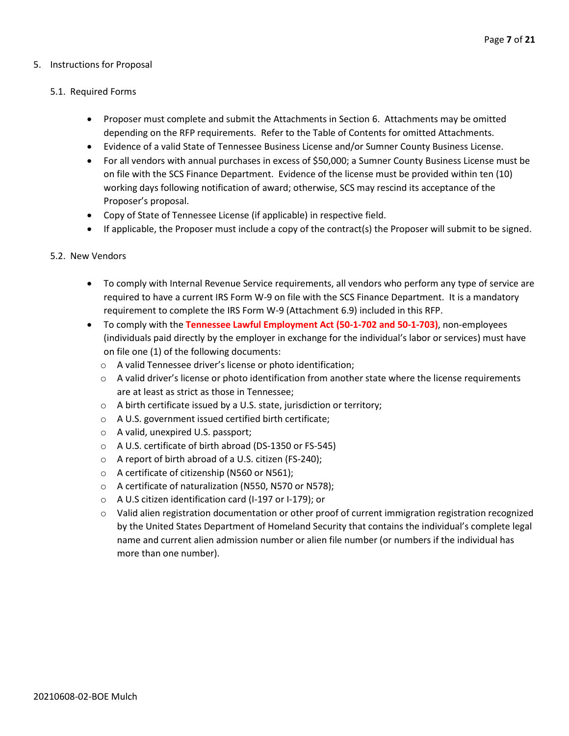#### 5. Instructions for Proposal

#### 5.1. Required Forms

- Proposer must complete and submit the Attachments in Section 6. Attachments may be omitted depending on the RFP requirements. Refer to the Table of Contents for omitted Attachments.
- Evidence of a valid State of Tennessee Business License and/or Sumner County Business License.
- For all vendors with annual purchases in excess of \$50,000; a Sumner County Business License must be on file with the SCS Finance Department. Evidence of the license must be provided within ten (10) working days following notification of award; otherwise, SCS may rescind its acceptance of the Proposer's proposal.
- Copy of State of Tennessee License (if applicable) in respective field.
- If applicable, the Proposer must include a copy of the contract(s) the Proposer will submit to be signed.

#### 5.2. New Vendors

- To comply with Internal Revenue Service requirements, all vendors who perform any type of service are required to have a current IRS Form W-9 on file with the SCS Finance Department. It is a mandatory requirement to complete the IRS Form W-9 (Attachment 6.9) included in this RFP.
- To comply with the **Tennessee Lawful Employment Act (50-1-702 and 50-1-703)**, non-employees (individuals paid directly by the employer in exchange for the individual's labor or services) must have on file one (1) of the following documents:
	- o A valid Tennessee driver's license or photo identification;
	- $\circ$  A valid driver's license or photo identification from another state where the license requirements are at least as strict as those in Tennessee;
	- o A birth certificate issued by a U.S. state, jurisdiction or territory;
	- o A U.S. government issued certified birth certificate;
	- o A valid, unexpired U.S. passport;
	- o A U.S. certificate of birth abroad (DS-1350 or FS-545)
	- o A report of birth abroad of a U.S. citizen (FS-240);
	- o A certificate of citizenship (N560 or N561);
	- o A certificate of naturalization (N550, N570 or N578);
	- o A U.S citizen identification card (I-197 or I-179); or
	- $\circ$  Valid alien registration documentation or other proof of current immigration registration recognized by the United States Department of Homeland Security that contains the individual's complete legal name and current alien admission number or alien file number (or numbers if the individual has more than one number).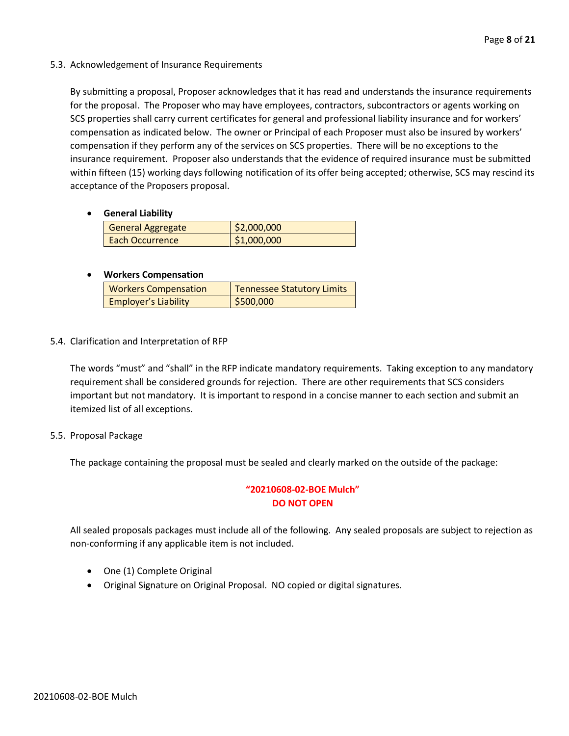## 5.3. Acknowledgement of Insurance Requirements

By submitting a proposal, Proposer acknowledges that it has read and understands the insurance requirements for the proposal. The Proposer who may have employees, contractors, subcontractors or agents working on SCS properties shall carry current certificates for general and professional liability insurance and for workers' compensation as indicated below. The owner or Principal of each Proposer must also be insured by workers' compensation if they perform any of the services on SCS properties. There will be no exceptions to the insurance requirement. Proposer also understands that the evidence of required insurance must be submitted within fifteen (15) working days following notification of its offer being accepted; otherwise, SCS may rescind its acceptance of the Proposers proposal.

## • **General Liability**

| General Aggregate      | \$2,000,000 |
|------------------------|-------------|
| <b>Each Occurrence</b> | \$1,000,000 |

## • **Workers Compensation**

| <b>Workers Compensation</b> | <b>Tennessee Statutory Limits</b> |
|-----------------------------|-----------------------------------|
| <b>Employer's Liability</b> | \$500,000                         |

## 5.4. Clarification and Interpretation of RFP

The words "must" and "shall" in the RFP indicate mandatory requirements. Taking exception to any mandatory requirement shall be considered grounds for rejection. There are other requirements that SCS considers important but not mandatory. It is important to respond in a concise manner to each section and submit an itemized list of all exceptions.

## 5.5. Proposal Package

The package containing the proposal must be sealed and clearly marked on the outside of the package:

# **"20210608-02-BOE Mulch" DO NOT OPEN**

All sealed proposals packages must include all of the following. Any sealed proposals are subject to rejection as non-conforming if any applicable item is not included.

- One (1) Complete Original
- Original Signature on Original Proposal. NO copied or digital signatures.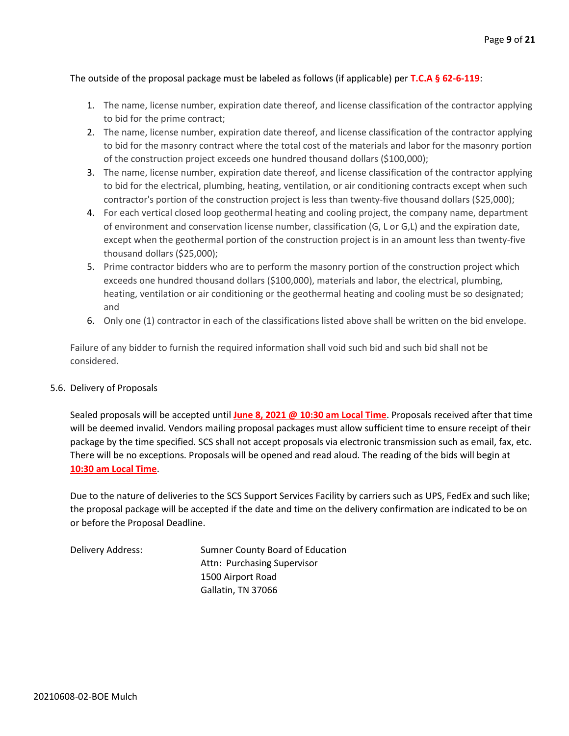# The outside of the proposal package must be labeled as follows (if applicable) per **T.C.A § 62-6-119**:

- 1. The name, license number, expiration date thereof, and license classification of the contractor applying to bid for the prime contract;
- 2. The name, license number, expiration date thereof, and license classification of the contractor applying to bid for the masonry contract where the total cost of the materials and labor for the masonry portion of the construction project exceeds one hundred thousand dollars (\$100,000);
- 3. The name, license number, expiration date thereof, and license classification of the contractor applying to bid for the electrical, plumbing, heating, ventilation, or air conditioning contracts except when such contractor's portion of the construction project is less than twenty-five thousand dollars (\$25,000);
- 4. For each vertical closed loop geothermal heating and cooling project, the company name, department of environment and conservation license number, classification (G, L or G,L) and the expiration date, except when the geothermal portion of the construction project is in an amount less than twenty-five thousand dollars (\$25,000);
- 5. Prime contractor bidders who are to perform the masonry portion of the construction project which exceeds one hundred thousand dollars (\$100,000), materials and labor, the electrical, plumbing, heating, ventilation or air conditioning or the geothermal heating and cooling must be so designated; and
- 6. Only one (1) contractor in each of the classifications listed above shall be written on the bid envelope.

Failure of any bidder to furnish the required information shall void such bid and such bid shall not be considered.

## 5.6. Delivery of Proposals

Sealed proposals will be accepted until **June 8, 2021 @ 10:30 am Local Time**. Proposals received after that time will be deemed invalid. Vendors mailing proposal packages must allow sufficient time to ensure receipt of their package by the time specified. SCS shall not accept proposals via electronic transmission such as email, fax, etc. There will be no exceptions. Proposals will be opened and read aloud. The reading of the bids will begin at **10:30 am Local Time**.

Due to the nature of deliveries to the SCS Support Services Facility by carriers such as UPS, FedEx and such like; the proposal package will be accepted if the date and time on the delivery confirmation are indicated to be on or before the Proposal Deadline.

| Delivery Address: | Sumner County Board of Education |
|-------------------|----------------------------------|
|                   | Attn: Purchasing Supervisor      |
|                   | 1500 Airport Road                |
|                   | Gallatin, TN 37066               |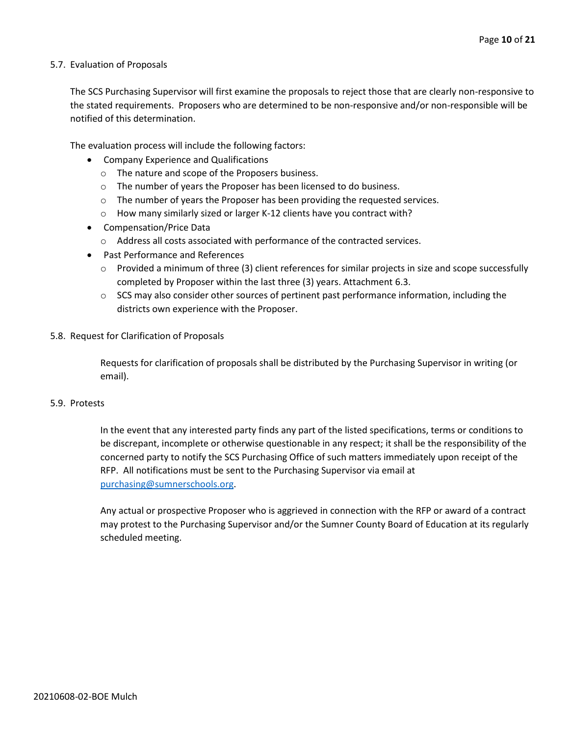#### 5.7. Evaluation of Proposals

The SCS Purchasing Supervisor will first examine the proposals to reject those that are clearly non-responsive to the stated requirements. Proposers who are determined to be non-responsive and/or non-responsible will be notified of this determination.

The evaluation process will include the following factors:

- Company Experience and Qualifications
	- o The nature and scope of the Proposers business.
	- $\circ$  The number of years the Proposer has been licensed to do business.
	- $\circ$  The number of years the Proposer has been providing the requested services.
	- o How many similarly sized or larger K-12 clients have you contract with?
- Compensation/Price Data
	- o Address all costs associated with performance of the contracted services.
- Past Performance and References
	- $\circ$  Provided a minimum of three (3) client references for similar projects in size and scope successfully completed by Proposer within the last three (3) years. Attachment 6.3.
	- $\circ$  SCS may also consider other sources of pertinent past performance information, including the districts own experience with the Proposer.
- 5.8. Request for Clarification of Proposals

Requests for clarification of proposals shall be distributed by the Purchasing Supervisor in writing (or email).

#### 5.9. Protests

In the event that any interested party finds any part of the listed specifications, terms or conditions to be discrepant, incomplete or otherwise questionable in any respect; it shall be the responsibility of the concerned party to notify the SCS Purchasing Office of such matters immediately upon receipt of the RFP. All notifications must be sent to the Purchasing Supervisor via email at [purchasing@sumnerschools.org.](mailto:purchasing@sumnerschools.org)

Any actual or prospective Proposer who is aggrieved in connection with the RFP or award of a contract may protest to the Purchasing Supervisor and/or the Sumner County Board of Education at its regularly scheduled meeting.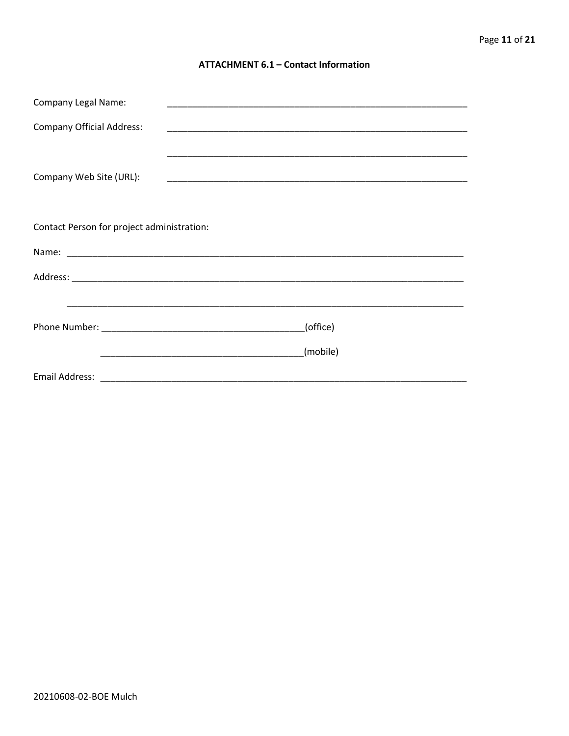#### **ATTACHMENT 6.1 - Contact Information**

| <b>Company Legal Name:</b>                 |          |  |
|--------------------------------------------|----------|--|
| <b>Company Official Address:</b>           |          |  |
|                                            |          |  |
| Company Web Site (URL):                    |          |  |
|                                            |          |  |
| Contact Person for project administration: |          |  |
|                                            |          |  |
|                                            |          |  |
|                                            |          |  |
|                                            |          |  |
| (office)                                   |          |  |
|                                            |          |  |
|                                            | (mobile) |  |
|                                            |          |  |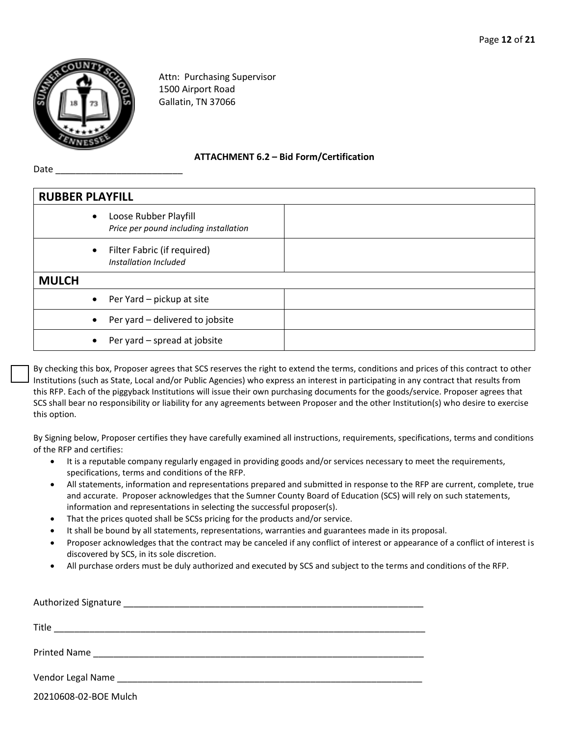

Date

Attn: Purchasing Supervisor 1500 Airport Road Gallatin, TN 37066

**ATTACHMENT 6.2 – Bid Form/Certification**

| <b>RUBBER PLAYFILL</b> |           |                                                                 |  |
|------------------------|-----------|-----------------------------------------------------------------|--|
|                        | $\bullet$ | Loose Rubber Playfill<br>Price per pound including installation |  |
|                        | $\bullet$ | Filter Fabric (if required)<br>Installation Included            |  |
| <b>MULCH</b>           |           |                                                                 |  |
|                        | $\bullet$ | Per Yard - pickup at site                                       |  |
|                        | $\bullet$ | Per yard - delivered to jobsite                                 |  |
|                        |           | Per yard - spread at jobsite                                    |  |

By checking this box, Proposer agrees that SCS reserves the right to extend the terms, conditions and prices of this contract to other Institutions (such as State, Local and/or Public Agencies) who express an interest in participating in any contract that results from this RFP. Each of the piggyback Institutions will issue their own purchasing documents for the goods/service. Proposer agrees that SCS shall bear no responsibility or liability for any agreements between Proposer and the other Institution(s) who desire to exercise this option.

By Signing below, Proposer certifies they have carefully examined all instructions, requirements, specifications, terms and conditions of the RFP and certifies:

- It is a reputable company regularly engaged in providing goods and/or services necessary to meet the requirements, specifications, terms and conditions of the RFP.
- All statements, information and representations prepared and submitted in response to the RFP are current, complete, true and accurate. Proposer acknowledges that the Sumner County Board of Education (SCS) will rely on such statements, information and representations in selecting the successful proposer(s).
- That the prices quoted shall be SCSs pricing for the products and/or service.
- It shall be bound by all statements, representations, warranties and guarantees made in its proposal.
- Proposer acknowledges that the contract may be canceled if any conflict of interest or appearance of a conflict of interest is discovered by SCS, in its sole discretion.
- All purchase orders must be duly authorized and executed by SCS and subject to the terms and conditions of the RFP.

| Title                 |
|-----------------------|
|                       |
|                       |
| 20210608-02-BOE Mulch |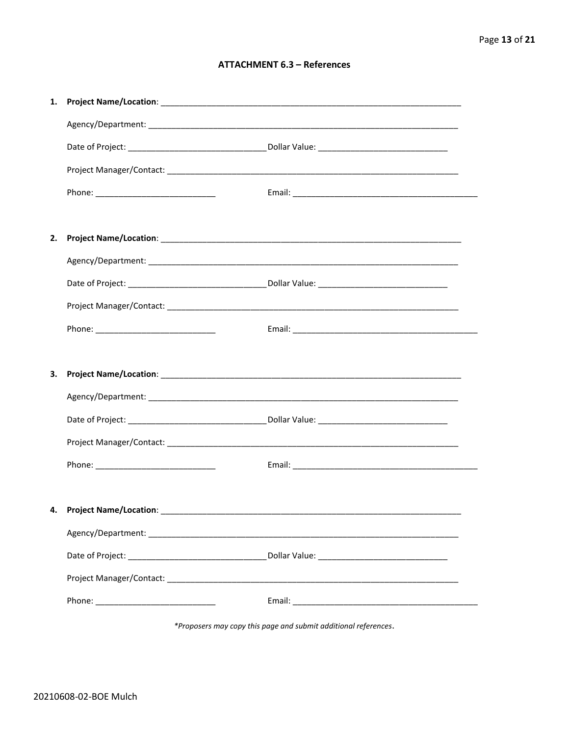## **ATTACHMENT 6.3 - References**

| 1. |                                     |  |
|----|-------------------------------------|--|
|    |                                     |  |
|    |                                     |  |
|    |                                     |  |
|    |                                     |  |
|    |                                     |  |
| 2. |                                     |  |
|    |                                     |  |
|    |                                     |  |
|    |                                     |  |
|    |                                     |  |
|    |                                     |  |
| З. |                                     |  |
|    |                                     |  |
|    |                                     |  |
|    |                                     |  |
|    |                                     |  |
|    |                                     |  |
|    | 4. Project Name/Location: _________ |  |
|    |                                     |  |
|    |                                     |  |
|    |                                     |  |
|    |                                     |  |
|    |                                     |  |

\*Proposers may copy this page and submit additional references.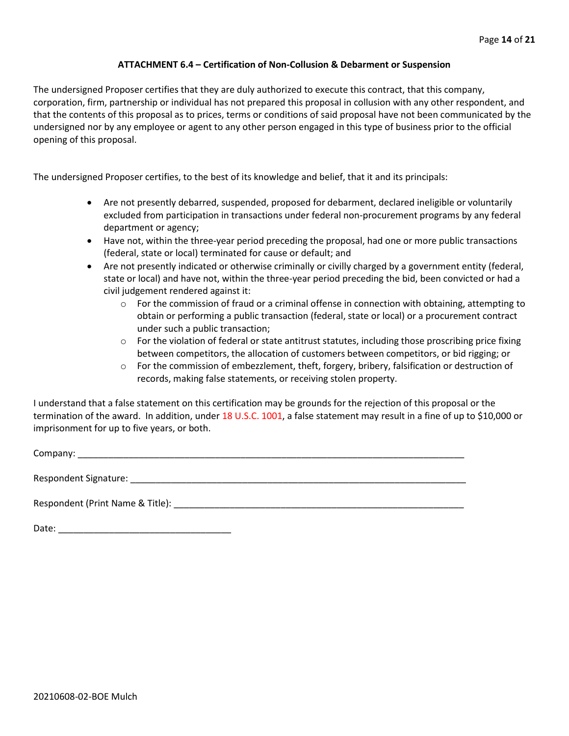#### **ATTACHMENT 6.4 – Certification of Non-Collusion & Debarment or Suspension**

The undersigned Proposer certifies that they are duly authorized to execute this contract, that this company, corporation, firm, partnership or individual has not prepared this proposal in collusion with any other respondent, and that the contents of this proposal as to prices, terms or conditions of said proposal have not been communicated by the undersigned nor by any employee or agent to any other person engaged in this type of business prior to the official opening of this proposal.

The undersigned Proposer certifies, to the best of its knowledge and belief, that it and its principals:

- Are not presently debarred, suspended, proposed for debarment, declared ineligible or voluntarily excluded from participation in transactions under federal non-procurement programs by any federal department or agency;
- Have not, within the three-year period preceding the proposal, had one or more public transactions (federal, state or local) terminated for cause or default; and
- Are not presently indicated or otherwise criminally or civilly charged by a government entity (federal, state or local) and have not, within the three-year period preceding the bid, been convicted or had a civil judgement rendered against it:
	- $\circ$  For the commission of fraud or a criminal offense in connection with obtaining, attempting to obtain or performing a public transaction (federal, state or local) or a procurement contract under such a public transaction;
	- $\circ$  For the violation of federal or state antitrust statutes, including those proscribing price fixing between competitors, the allocation of customers between competitors, or bid rigging; or
	- o For the commission of embezzlement, theft, forgery, bribery, falsification or destruction of records, making false statements, or receiving stolen property.

I understand that a false statement on this certification may be grounds for the rejection of this proposal or the termination of the award. In addition, under 18 U.S.C. 1001, a false statement may result in a fine of up to \$10,000 or imprisonment for up to five years, or both.

Company: \_\_\_\_\_\_\_\_\_\_\_\_\_\_\_\_\_\_\_\_\_\_\_\_\_\_\_\_\_\_\_\_\_\_\_\_\_\_\_\_\_\_\_\_\_\_\_\_\_\_\_\_\_\_\_\_\_\_\_\_\_\_\_\_\_\_\_\_\_\_\_\_\_\_\_\_

Respondent Signature: \_\_\_\_\_\_\_\_\_\_\_\_\_\_\_\_\_\_\_\_\_\_\_\_\_\_\_\_\_\_\_\_\_\_\_\_\_\_\_\_\_\_\_\_\_\_\_\_\_\_\_\_\_\_\_\_\_\_\_\_\_\_\_\_\_\_

Respondent (Print Name & Title): \_\_\_\_\_\_\_\_\_\_\_\_\_\_\_\_\_\_\_\_\_\_\_\_\_\_\_\_\_\_\_\_\_\_\_\_\_\_\_\_\_\_\_\_\_\_\_\_\_\_\_\_\_\_\_\_\_

Date: \_\_\_\_\_\_\_\_\_\_\_\_\_\_\_\_\_\_\_\_\_\_\_\_\_\_\_\_\_\_\_\_\_\_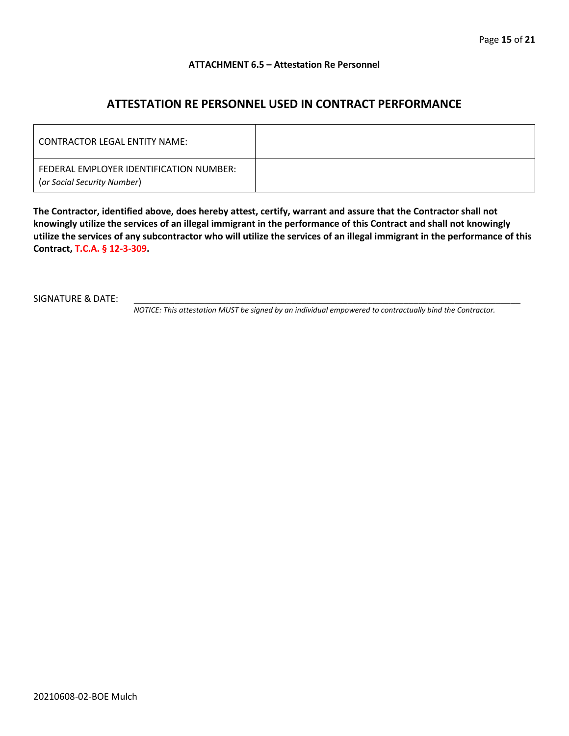#### **ATTACHMENT 6.5 – Attestation Re Personnel**

# **ATTESTATION RE PERSONNEL USED IN CONTRACT PERFORMANCE**

| CONTRACTOR LEGAL ENTITY NAME:                                          |  |
|------------------------------------------------------------------------|--|
| FEDERAL EMPLOYER IDENTIFICATION NUMBER:<br>(or Social Security Number) |  |

**The Contractor, identified above, does hereby attest, certify, warrant and assure that the Contractor shall not knowingly utilize the services of an illegal immigrant in the performance of this Contract and shall not knowingly utilize the services of any subcontractor who will utilize the services of an illegal immigrant in the performance of this Contract, T.C.A. § 12-3-309.**

SIGNATURE & DATE:

*NOTICE: This attestation MUST be signed by an individual empowered to contractually bind the Contractor.*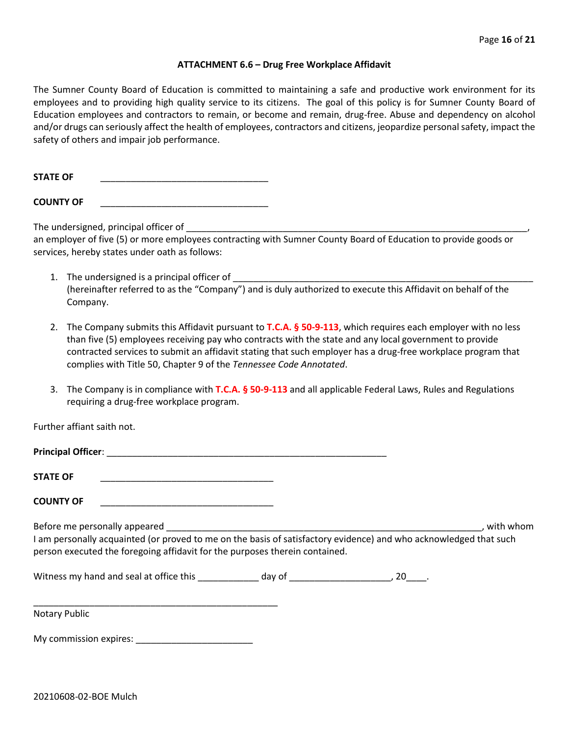#### **ATTACHMENT 6.6 – Drug Free Workplace Affidavit**

The Sumner County Board of Education is committed to maintaining a safe and productive work environment for its employees and to providing high quality service to its citizens. The goal of this policy is for Sumner County Board of Education employees and contractors to remain, or become and remain, drug-free. Abuse and dependency on alcohol and/or drugs can seriously affect the health of employees, contractors and citizens, jeopardize personal safety, impact the safety of others and impair job performance.

STATE OF

**COUNTY OF** \_\_\_\_\_\_\_\_\_\_\_\_\_\_\_\_\_\_\_\_\_\_\_\_\_\_\_\_\_\_\_\_\_

The undersigned, principal officer of

an employer of five (5) or more employees contracting with Sumner County Board of Education to provide goods or services, hereby states under oath as follows:

- 1. The undersigned is a principal officer of (hereinafter referred to as the "Company") and is duly authorized to execute this Affidavit on behalf of the Company.
- 2. The Company submits this Affidavit pursuant to **T.C.A. § 50-9-113**, which requires each employer with no less than five (5) employees receiving pay who contracts with the state and any local government to provide contracted services to submit an affidavit stating that such employer has a drug-free workplace program that complies with Title 50, Chapter 9 of the *Tennessee Code Annotated*.
- 3. The Company is in compliance with **T.C.A. § 50-9-113** and all applicable Federal Laws, Rules and Regulations requiring a drug-free workplace program.

Further affiant saith not.

| Principal Officer: |  |
|--------------------|--|
|                    |  |
| <b>STATE OF</b>    |  |

**COUNTY OF** \_\_\_\_\_\_\_\_\_\_\_\_\_\_\_\_\_\_\_\_\_\_\_\_\_\_\_\_\_\_\_\_\_\_

Before me personally appeared \_\_\_\_\_\_\_\_\_\_\_\_\_\_\_\_\_\_\_\_\_\_\_\_\_\_\_\_\_\_\_\_\_\_\_\_\_\_\_\_\_\_\_\_\_\_\_\_\_\_\_\_\_\_\_\_\_\_\_\_\_\_, with whom I am personally acquainted (or proved to me on the basis of satisfactory evidence) and who acknowledged that such person executed the foregoing affidavit for the purposes therein contained.

Witness my hand and seal at office this \_\_\_\_\_\_\_\_\_\_\_\_\_ day of \_\_\_\_\_\_\_\_\_\_\_\_\_\_\_\_\_\_\_\_\_, 20\_\_\_\_.

\_\_\_\_\_\_\_\_\_\_\_\_\_\_\_\_\_\_\_\_\_\_\_\_\_\_\_\_\_\_\_\_\_\_\_\_\_\_\_\_\_\_\_\_\_\_\_\_ Notary Public

My commission expires: **Example 20**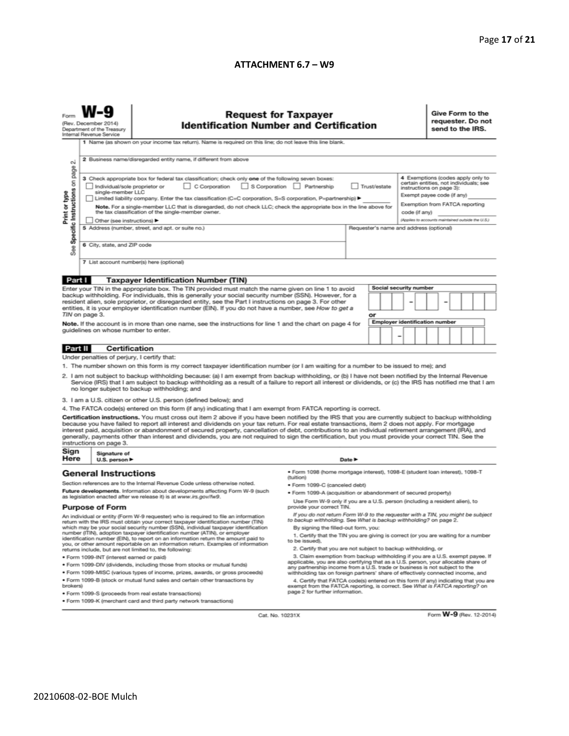#### **ATTACHMENT 6.7 – W9**

| <b>Request for Taxpayer</b><br>(Rev. December 2014)<br><b>Identification Number and Certification</b><br>Department of the Treasury<br>Internal Revenue Service<br>1 Name (as shown on your income tax return). Name is required on this line; do not leave this line blank.<br>2 Business name/disregarded entity name, if different from above<br>N                                                                                                                                                                                                                                                                                                                                                                                                                                                                                                                                                                                                                                                                                                                                                                                                                                                                                                                                                                                                                                                                                                                                                                                                                                                                                                                                                                                                                                                                                                                                                                                              | requester. Do not<br>send to the IRS. |  |  |
|----------------------------------------------------------------------------------------------------------------------------------------------------------------------------------------------------------------------------------------------------------------------------------------------------------------------------------------------------------------------------------------------------------------------------------------------------------------------------------------------------------------------------------------------------------------------------------------------------------------------------------------------------------------------------------------------------------------------------------------------------------------------------------------------------------------------------------------------------------------------------------------------------------------------------------------------------------------------------------------------------------------------------------------------------------------------------------------------------------------------------------------------------------------------------------------------------------------------------------------------------------------------------------------------------------------------------------------------------------------------------------------------------------------------------------------------------------------------------------------------------------------------------------------------------------------------------------------------------------------------------------------------------------------------------------------------------------------------------------------------------------------------------------------------------------------------------------------------------------------------------------------------------------------------------------------------------|---------------------------------------|--|--|
| Specific Instructions on page<br>4 Exemptions (codes apply only to<br>3 Check appropriate box for federal tax classification; check only one of the following seven boxes:<br>certain entities, not individuals; see<br>C Corporation<br>S Corporation Partnership<br>Trust/estate<br>Individual/sole proprietor or<br>instructions on page 3):<br>single-member LLC<br>Print or type<br>Exempt payee code (if any)<br>Limited liability company. Enter the tax classification (C=C corporation, S=S corporation, P=partnership) ▶<br>Exemption from FATCA reporting<br>Note. For a single-member LLC that is disregarded, do not check LLC; check the appropriate box in the line above for<br>the tax classification of the single-member owner.<br>code (if any)<br>(Applies to accounts maintained outside the U.S.)<br>Other (see instructions) ▶<br>5 Address (number, street, and apt. or suite no.)<br>Requester's name and address (optional)<br>6 City, state, and ZIP code<br>See<br>7 List account number(s) here (optional)                                                                                                                                                                                                                                                                                                                                                                                                                                                                                                                                                                                                                                                                                                                                                                                                                                                                                                           |                                       |  |  |
|                                                                                                                                                                                                                                                                                                                                                                                                                                                                                                                                                                                                                                                                                                                                                                                                                                                                                                                                                                                                                                                                                                                                                                                                                                                                                                                                                                                                                                                                                                                                                                                                                                                                                                                                                                                                                                                                                                                                                    |                                       |  |  |
| Part I<br><b>Taxpayer Identification Number (TIN)</b><br>Social security number<br>Enter your TIN in the appropriate box. The TIN provided must match the name given on line 1 to avoid<br>backup withholding. For individuals, this is generally your social security number (SSN). However, for a<br>resident alien, sole proprietor, or disregarded entity, see the Part I instructions on page 3. For other<br>entities, it is your employer identification number (EIN). If you do not have a number, see How to get a<br>TIN on page 3.<br>or<br>Employer identification number<br>Note. If the account is in more than one name, see the instructions for line 1 and the chart on page 4 for<br>guidelines on whose number to enter.<br>-                                                                                                                                                                                                                                                                                                                                                                                                                                                                                                                                                                                                                                                                                                                                                                                                                                                                                                                                                                                                                                                                                                                                                                                                   |                                       |  |  |
|                                                                                                                                                                                                                                                                                                                                                                                                                                                                                                                                                                                                                                                                                                                                                                                                                                                                                                                                                                                                                                                                                                                                                                                                                                                                                                                                                                                                                                                                                                                                                                                                                                                                                                                                                                                                                                                                                                                                                    |                                       |  |  |
| <b>Certification</b><br>Part II                                                                                                                                                                                                                                                                                                                                                                                                                                                                                                                                                                                                                                                                                                                                                                                                                                                                                                                                                                                                                                                                                                                                                                                                                                                                                                                                                                                                                                                                                                                                                                                                                                                                                                                                                                                                                                                                                                                    |                                       |  |  |
| Under penalties of perjury, I certify that:<br>1. The number shown on this form is my correct taxpayer identification number (or I am waiting for a number to be issued to me); and<br>2. I am not subject to backup withholding because: (a) I am exempt from backup withholding, or (b) I have not been notified by the Internal Revenue<br>Service (IRS) that I am subject to backup withholding as a result of a failure to report all interest or dividends, or (c) the IRS has notified me that I am<br>no longer subject to backup withholding; and<br>3. I am a U.S. citizen or other U.S. person (defined below); and<br>4. The FATCA code(s) entered on this form (if any) indicating that I am exempt from FATCA reporting is correct.<br>Certification instructions. You must cross out item 2 above if you have been notified by the IRS that you are currently subject to backup withholding<br>because you have failed to report all interest and dividends on your tax return. For real estate transactions, item 2 does not apply. For mortgage<br>interest paid, acquisition or abandonment of secured property, cancellation of debt, contributions to an individual retirement arrangement (IRA), and<br>generally, payments other than interest and dividends, you are not required to sign the certification, but you must provide your correct TIN. See the<br>instructions on page 3.                                                                                                                                                                                                                                                                                                                                                                                                                                                                                                                                      |                                       |  |  |
| Sign<br>Signature of                                                                                                                                                                                                                                                                                                                                                                                                                                                                                                                                                                                                                                                                                                                                                                                                                                                                                                                                                                                                                                                                                                                                                                                                                                                                                                                                                                                                                                                                                                                                                                                                                                                                                                                                                                                                                                                                                                                               |                                       |  |  |
| Here<br>U.S. person ▶<br>Date P<br>· Form 1098 (home mortgage interest), 1098-E (student Ioan interest), 1098-T<br><b>General Instructions</b>                                                                                                                                                                                                                                                                                                                                                                                                                                                                                                                                                                                                                                                                                                                                                                                                                                                                                                                                                                                                                                                                                                                                                                                                                                                                                                                                                                                                                                                                                                                                                                                                                                                                                                                                                                                                     |                                       |  |  |
| (tuition)<br>Section references are to the Internal Revenue Code unless otherwise noted.<br>• Form 1099-C (canceled debt)<br>Future developments. Information about developments affecting Form W-9 (such<br>. Form 1099-A (acquisition or abandonment of secured property)<br>as legislation enacted after we release it) is at www.irs.gov/fw9.<br>Use Form W-9 only if you are a U.S. person (including a resident alien), to<br>provide your correct TIN.<br><b>Purpose of Form</b>                                                                                                                                                                                                                                                                                                                                                                                                                                                                                                                                                                                                                                                                                                                                                                                                                                                                                                                                                                                                                                                                                                                                                                                                                                                                                                                                                                                                                                                            |                                       |  |  |
| If you do not return Form W-9 to the requester with a TIN, you might be subject<br>An individual or entity (Form W-9 requester) who is required to file an information<br>to backup withholding. See What is backup withholding? on page 2.<br>return with the IRS must obtain your correct taxpayer identification number (TIN)<br>which may be your social security number (SSN), individual taxpayer identification<br>By signing the filled-out form, you:<br>number (ITIN), adoption taxpayer identification number (ATIN), or employer<br>1. Certify that the TIN you are giving is correct (or you are waiting for a number<br>identification number (EIN), to report on an information return the amount paid to<br>to be issued).<br>you, or other amount reportable on an information return. Examples of information<br>2. Certify that you are not subject to backup withholding, or<br>returns include, but are not limited to, the following:<br>3. Claim exemption from backup withholding if you are a U.S. exempt payee. If<br>· Form 1099-INT (interest earned or paid)<br>applicable, you are also certifying that as a U.S. person, your allocable share of<br>. Form 1099-DIV (dividends, including those from stocks or mutual funds)<br>any partnership income from a U.S. trade or business is not subject to the<br>* Form 1099-MISC (various types of income, prizes, awards, or gross proceeds)<br>withholding tax on foreign partners' share of effectively connected income, and<br>. Form 1099-B (stock or mutual fund sales and certain other transactions by<br>4. Certify that FATCA code(s) entered on this form (if any) indicating that you are<br>brokers)<br>exempt from the FATCA reporting, is correct. See What is FATCA reporting? on<br>page 2 for further information.<br>· Form 1099-S (proceeds from real estate transactions)<br>. Form 1099-K (merchant card and third party network transactions) |                                       |  |  |

Cat. No. 10231X

Form **W-9** (Rev. 12-2014)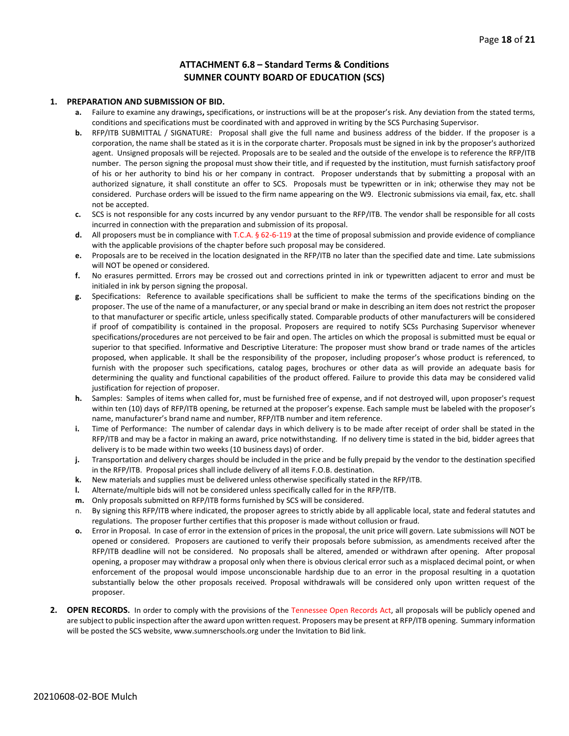#### **ATTACHMENT 6.8 – Standard Terms & Conditions SUMNER COUNTY BOARD OF EDUCATION (SCS)**

#### **1. PREPARATION AND SUBMISSION OF BID.**

- **a.** Failure to examine any drawings**,** specifications, or instructions will be at the proposer's risk. Any deviation from the stated terms, conditions and specifications must be coordinated with and approved in writing by the SCS Purchasing Supervisor.
- **b.** RFP/ITB SUBMITTAL / SIGNATURE: Proposal shall give the full name and business address of the bidder. If the proposer is a corporation, the name shall be stated as it is in the corporate charter. Proposals must be signed in ink by the proposer's authorized agent. Unsigned proposals will be rejected. Proposals are to be sealed and the outside of the envelope is to reference the RFP/ITB number. The person signing the proposal must show their title, and if requested by the institution, must furnish satisfactory proof of his or her authority to bind his or her company in contract. Proposer understands that by submitting a proposal with an authorized signature, it shall constitute an offer to SCS. Proposals must be typewritten or in ink; otherwise they may not be considered. Purchase orders will be issued to the firm name appearing on the W9. Electronic submissions via email, fax, etc. shall not be accepted.
- **c.** SCS is not responsible for any costs incurred by any vendor pursuant to the RFP/ITB. The vendor shall be responsible for all costs incurred in connection with the preparation and submission of its proposal.
- **d.** All proposers must be in compliance with T.C.A. § 62-6-119 at the time of proposal submission and provide evidence of compliance with the applicable provisions of the chapter before such proposal may be considered.
- **e.** Proposals are to be received in the location designated in the RFP/ITB no later than the specified date and time. Late submissions will NOT be opened or considered.
- **f.** No erasures permitted. Errors may be crossed out and corrections printed in ink or typewritten adjacent to error and must be initialed in ink by person signing the proposal.
- **g.** Specifications: Reference to available specifications shall be sufficient to make the terms of the specifications binding on the proposer. The use of the name of a manufacturer, or any special brand or make in describing an item does not restrict the proposer to that manufacturer or specific article, unless specifically stated. Comparable products of other manufacturers will be considered if proof of compatibility is contained in the proposal. Proposers are required to notify SCSs Purchasing Supervisor whenever specifications/procedures are not perceived to be fair and open. The articles on which the proposal is submitted must be equal or superior to that specified. Informative and Descriptive Literature: The proposer must show brand or trade names of the articles proposed, when applicable. It shall be the responsibility of the proposer, including proposer's whose product is referenced, to furnish with the proposer such specifications, catalog pages, brochures or other data as will provide an adequate basis for determining the quality and functional capabilities of the product offered. Failure to provide this data may be considered valid justification for rejection of proposer.
- **h.** Samples: Samples of items when called for, must be furnished free of expense, and if not destroyed will, upon proposer's request within ten (10) days of RFP/ITB opening, be returned at the proposer's expense. Each sample must be labeled with the proposer's name, manufacturer's brand name and number, RFP/ITB number and item reference.
- **i.** Time of Performance: The number of calendar days in which delivery is to be made after receipt of order shall be stated in the RFP/ITB and may be a factor in making an award, price notwithstanding. If no delivery time is stated in the bid, bidder agrees that delivery is to be made within two weeks (10 business days) of order.
- **j.** Transportation and delivery charges should be included in the price and be fully prepaid by the vendor to the destination specified in the RFP/ITB. Proposal prices shall include delivery of all items F.O.B. destination.
- **k.** New materials and supplies must be delivered unless otherwise specifically stated in the RFP/ITB.
- **l.** Alternate/multiple bids will not be considered unless specifically called for in the RFP/ITB.
- **m.** Only proposals submitted on RFP/ITB forms furnished by SCS will be considered.
- n. By signing this RFP/ITB where indicated, the proposer agrees to strictly abide by all applicable local, state and federal statutes and regulations. The proposer further certifies that this proposer is made without collusion or fraud.
- **o.** Error in Proposal. In case of error in the extension of prices in the proposal, the unit price will govern. Late submissions will NOT be opened or considered. Proposers are cautioned to verify their proposals before submission, as amendments received after the RFP/ITB deadline will not be considered. No proposals shall be altered, amended or withdrawn after opening. After proposal opening, a proposer may withdraw a proposal only when there is obvious clerical error such as a misplaced decimal point, or when enforcement of the proposal would impose unconscionable hardship due to an error in the proposal resulting in a quotation substantially below the other proposals received. Proposal withdrawals will be considered only upon written request of the proposer.
- **2. OPEN RECORDS.** In order to comply with the provisions of the Tennessee Open Records Act, all proposals will be publicly opened and are subject to public inspection after the award upon written request. Proposers may be present at RFP/ITB opening. Summary information will be posted the SCS website, www.sumnerschools.org under the Invitation to Bid link.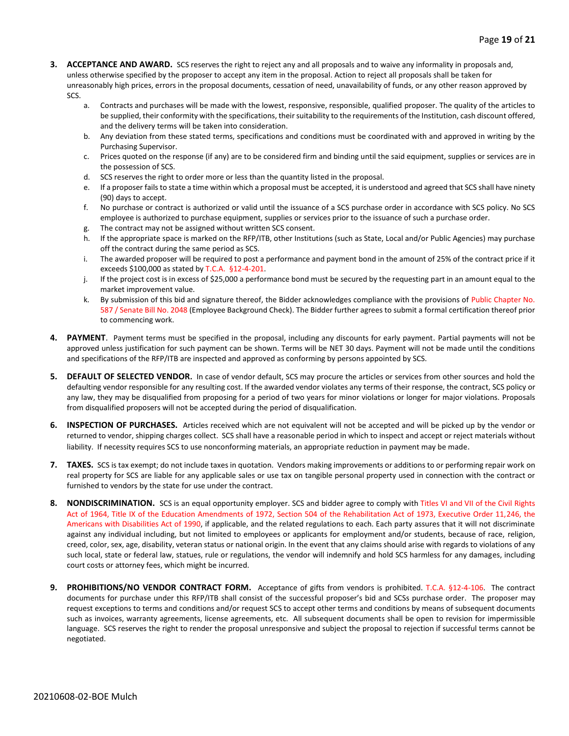- **3. ACCEPTANCE AND AWARD.** SCS reserves the right to reject any and all proposals and to waive any informality in proposals and, unless otherwise specified by the proposer to accept any item in the proposal. Action to reject all proposals shall be taken for unreasonably high prices, errors in the proposal documents, cessation of need, unavailability of funds, or any other reason approved by SCS.
	- a. Contracts and purchases will be made with the lowest, responsive, responsible, qualified proposer. The quality of the articles to be supplied, their conformity with the specifications, their suitability to the requirements of the Institution, cash discount offered, and the delivery terms will be taken into consideration.
	- b. Any deviation from these stated terms, specifications and conditions must be coordinated with and approved in writing by the Purchasing Supervisor.
	- c. Prices quoted on the response (if any) are to be considered firm and binding until the said equipment, supplies or services are in the possession of SCS.
	- d. SCS reserves the right to order more or less than the quantity listed in the proposal.
	- e. If a proposer fails to state a time within which a proposal must be accepted, it is understood and agreed that SCS shall have ninety (90) days to accept.
	- f. No purchase or contract is authorized or valid until the issuance of a SCS purchase order in accordance with SCS policy. No SCS employee is authorized to purchase equipment, supplies or services prior to the issuance of such a purchase order.
	- g. The contract may not be assigned without written SCS consent.
	- h. If the appropriate space is marked on the RFP/ITB, other Institutions (such as State, Local and/or Public Agencies) may purchase off the contract during the same period as SCS.
	- i. The awarded proposer will be required to post a performance and payment bond in the amount of 25% of the contract price if it exceeds \$100,000 as stated by T.C.A. §12-4-201.
	- j. If the project cost is in excess of \$25,000 a performance bond must be secured by the requesting part in an amount equal to the market improvement value.
	- k. By submission of this bid and signature thereof, the Bidder acknowledges compliance with the provisions of Public Chapter No. 587 / Senate Bill No. 2048 (Employee Background Check). The Bidder further agrees to submit a formal certification thereof prior to commencing work.
- **4. PAYMENT**. Payment terms must be specified in the proposal, including any discounts for early payment. Partial payments will not be approved unless justification for such payment can be shown. Terms will be NET 30 days. Payment will not be made until the conditions and specifications of the RFP/ITB are inspected and approved as conforming by persons appointed by SCS.
- **5. DEFAULT OF SELECTED VENDOR.** In case of vendor default, SCS may procure the articles or services from other sources and hold the defaulting vendor responsible for any resulting cost. If the awarded vendor violates any terms of their response, the contract, SCS policy or any law, they may be disqualified from proposing for a period of two years for minor violations or longer for major violations. Proposals from disqualified proposers will not be accepted during the period of disqualification.
- **6. INSPECTION OF PURCHASES.** Articles received which are not equivalent will not be accepted and will be picked up by the vendor or returned to vendor, shipping charges collect. SCS shall have a reasonable period in which to inspect and accept or reject materials without liability. If necessity requires SCS to use nonconforming materials, an appropriate reduction in payment may be made.
- **7. TAXES.** SCS is tax exempt; do not include taxes in quotation. Vendors making improvements or additions to or performing repair work on real property for SCS are liable for any applicable sales or use tax on tangible personal property used in connection with the contract or furnished to vendors by the state for use under the contract.
- **8. NONDISCRIMINATION.** SCS is an equal opportunity employer. SCS and bidder agree to comply with Titles VI and VII of the Civil Rights Act of 1964, Title IX of the Education Amendments of 1972, Section 504 of the Rehabilitation Act of 1973, Executive Order 11,246, the Americans with Disabilities Act of 1990, if applicable, and the related regulations to each. Each party assures that it will not discriminate against any individual including, but not limited to employees or applicants for employment and/or students, because of race, religion, creed, color, sex, age, disability, veteran status or national origin. In the event that any claims should arise with regards to violations of any such local, state or federal law, statues, rule or regulations, the vendor will indemnify and hold SCS harmless for any damages, including court costs or attorney fees, which might be incurred.
- **9. PROHIBITIONS/NO VENDOR CONTRACT FORM.** Acceptance of gifts from vendors is prohibited. T.C.A. §12-4-106. The contract documents for purchase under this RFP/ITB shall consist of the successful proposer's bid and SCSs purchase order. The proposer may request exceptions to terms and conditions and/or request SCS to accept other terms and conditions by means of subsequent documents such as invoices, warranty agreements, license agreements, etc. All subsequent documents shall be open to revision for impermissible language. SCS reserves the right to render the proposal unresponsive and subject the proposal to rejection if successful terms cannot be negotiated.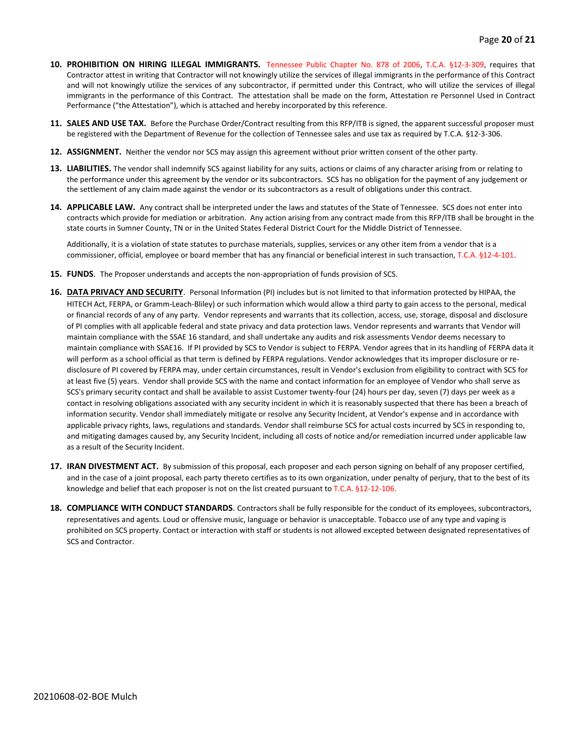- **10. PROHIBITION ON HIRING ILLEGAL IMMIGRANTS.** Tennessee Public Chapter No. 878 of 2006, T.C.A. §12-3-309, requires that Contractor attest in writing that Contractor will not knowingly utilize the services of illegal immigrants in the performance of this Contract and will not knowingly utilize the services of any subcontractor, if permitted under this Contract, who will utilize the services of illegal immigrants in the performance of this Contract. The attestation shall be made on the form, Attestation re Personnel Used in Contract Performance ("the Attestation"), which is attached and hereby incorporated by this reference.
- **11. SALES AND USE TAX.** Before the Purchase Order/Contract resulting from this RFP/ITB is signed, the apparent successful proposer must be registered with the Department of Revenue for the collection of Tennessee sales and use tax as required by T.C.A. §12-3-306.
- **12. ASSIGNMENT.** Neither the vendor nor SCS may assign this agreement without prior written consent of the other party.
- **13. LIABILITIES.** The vendor shall indemnify SCS against liability for any suits, actions or claims of any character arising from or relating to the performance under this agreement by the vendor or its subcontractors. SCS has no obligation for the payment of any judgement or the settlement of any claim made against the vendor or its subcontractors as a result of obligations under this contract.
- **14. APPLICABLE LAW.** Any contract shall be interpreted under the laws and statutes of the State of Tennessee. SCS does not enter into contracts which provide for mediation or arbitration. Any action arising from any contract made from this RFP/ITB shall be brought in the state courts in Sumner County, TN or in the United States Federal District Court for the Middle District of Tennessee.

Additionally, it is a violation of state statutes to purchase materials, supplies, services or any other item from a vendor that is a commissioner, official, employee or board member that has any financial or beneficial interest in such transaction, T.C.A. §12-4-101.

- **15. FUNDS**. The Proposer understands and accepts the non-appropriation of funds provision of SCS.
- **16. DATA PRIVACY AND SECURITY**. Personal Information (PI) includes but is not limited to that information protected by HIPAA, the HITECH Act, FERPA, or Gramm-Leach-Bliley) or such information which would allow a third party to gain access to the personal, medical or financial records of any of any party. Vendor represents and warrants that its collection, access, use, storage, disposal and disclosure of PI complies with all applicable federal and state privacy and data protection laws. Vendor represents and warrants that Vendor will maintain compliance with the SSAE 16 standard, and shall undertake any audits and risk assessments Vendor deems necessary to maintain compliance with SSAE16. If PI provided by SCS to Vendor is subject to FERPA. Vendor agrees that in its handling of FERPA data it will perform as a school official as that term is defined by FERPA regulations. Vendor acknowledges that its improper disclosure or redisclosure of PI covered by FERPA may, under certain circumstances, result in Vendor's exclusion from eligibility to contract with SCS for at least five (5) years. Vendor shall provide SCS with the name and contact information for an employee of Vendor who shall serve as SCS's primary security contact and shall be available to assist Customer twenty-four (24) hours per day, seven (7) days per week as a contact in resolving obligations associated with any security incident in which it is reasonably suspected that there has been a breach of information security. Vendor shall immediately mitigate or resolve any Security Incident, at Vendor's expense and in accordance with applicable privacy rights, laws, regulations and standards. Vendor shall reimburse SCS for actual costs incurred by SCS in responding to, and mitigating damages caused by, any Security Incident, including all costs of notice and/or remediation incurred under applicable law as a result of the Security Incident.
- **17. IRAN DIVESTMENT ACT.** By submission of this proposal, each proposer and each person signing on behalf of any proposer certified, and in the case of a joint proposal, each party thereto certifies as to its own organization, under penalty of perjury, that to the best of its knowledge and belief that each proposer is not on the list created pursuant to T.C.A. §12-12-106.
- **18. COMPLIANCE WITH CONDUCT STANDARDS**. Contractors shall be fully responsible for the conduct of its employees, subcontractors, representatives and agents. Loud or offensive music, language or behavior is unacceptable. Tobacco use of any type and vaping is prohibited on SCS property. Contact or interaction with staff or students is not allowed excepted between designated representatives of SCS and Contractor.